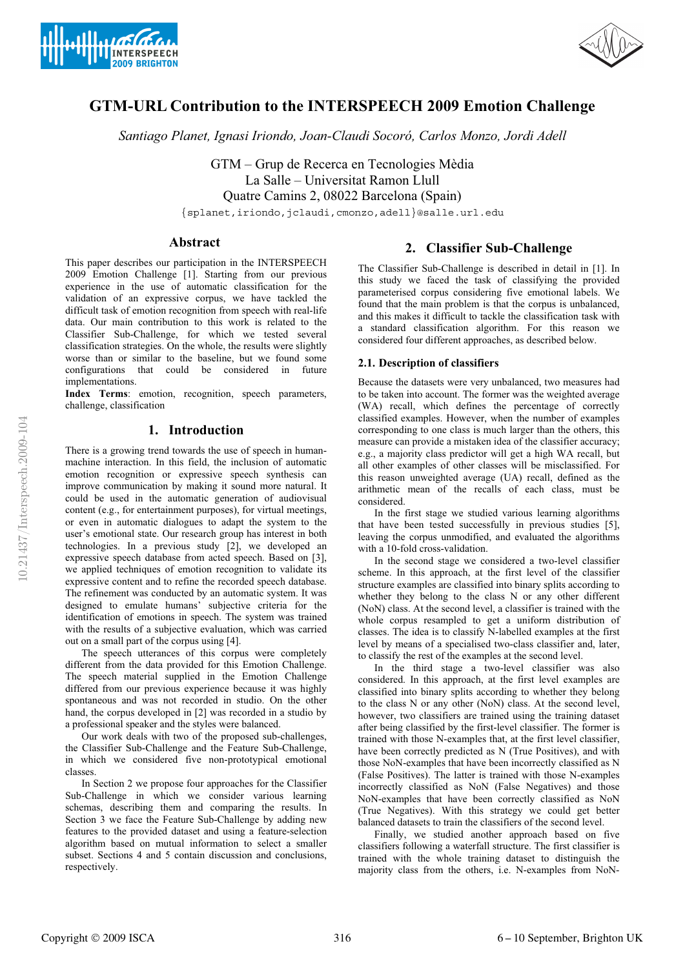



# **GTM-URL Contribution to the INTERSPEECH 2009 Emotion Challenge**

*Santiago Planet, Ignasi Iriondo, Joan-Claudi Socoró, Carlos Monzo, Jordi Adell*

GTM – Grup de Recerca en Tecnologies Mèdia La Salle – Universitat Ramon Llull Quatre Camins 2, 08022 Barcelona (Spain) {splanet,iriondo,jclaudi,cmonzo,adell}@salle.url.edu

## **Abstract**

This paper describes our participation in the INTERSPEECH 2009 Emotion Challenge [1]. Starting from our previous experience in the use of automatic classification for the validation of an expressive corpus, we have tackled the difficult task of emotion recognition from speech with real-life data. Our main contribution to this work is related to the Classifier Sub-Challenge, for which we tested several classification strategies. On the whole, the results were slightly worse than or similar to the baseline, but we found some configurations that could be considered in future implementations.

**Index Terms**: emotion, recognition, speech parameters, challenge, classification

## **1. Introduction**

There is a growing trend towards the use of speech in humanmachine interaction. In this field, the inclusion of automatic emotion recognition or expressive speech synthesis can improve communication by making it sound more natural. It could be used in the automatic generation of audiovisual content (e.g., for entertainment purposes), for virtual meetings, or even in automatic dialogues to adapt the system to the user's emotional state. Our research group has interest in both technologies. In a previous study [2], we developed an expressive speech database from acted speech. Based on [3], we applied techniques of emotion recognition to validate its expressive content and to refine the recorded speech database. The refinement was conducted by an automatic system. It was designed to emulate humans' subjective criteria for the identification of emotions in speech. The system was trained with the results of a subjective evaluation, which was carried out on a small part of the corpus using [4].

The speech utterances of this corpus were completely different from the data provided for this Emotion Challenge. The speech material supplied in the Emotion Challenge differed from our previous experience because it was highly spontaneous and was not recorded in studio. On the other hand, the corpus developed in [2] was recorded in a studio by a professional speaker and the styles were balanced.

Our work deals with two of the proposed sub-challenges, the Classifier Sub-Challenge and the Feature Sub-Challenge, in which we considered five non-prototypical emotional classes.

In Section 2 we propose four approaches for the Classifier Sub-Challenge in which we consider various learning schemas, describing them and comparing the results. In Section 3 we face the Feature Sub-Challenge by adding new features to the provided dataset and using a feature-selection algorithm based on mutual information to select a smaller subset. Sections 4 and 5 contain discussion and conclusions, respectively.

## **2. Classifier Sub-Challenge**

The Classifier Sub-Challenge is described in detail in [1]. In this study we faced the task of classifying the provided parameterised corpus considering five emotional labels. We found that the main problem is that the corpus is unbalanced, and this makes it difficult to tackle the classification task with a standard classification algorithm. For this reason we considered four different approaches, as described below.

## **2.1. Description of classifiers**

Because the datasets were very unbalanced, two measures had to be taken into account. The former was the weighted average (WA) recall, which defines the percentage of correctly classified examples. However, when the number of examples corresponding to one class is much larger than the others, this measure can provide a mistaken idea of the classifier accuracy; e.g., a majority class predictor will get a high WA recall, but all other examples of other classes will be misclassified. For this reason unweighted average (UA) recall, defined as the arithmetic mean of the recalls of each class, must be considered.

In the first stage we studied various learning algorithms that have been tested successfully in previous studies [5], leaving the corpus unmodified, and evaluated the algorithms with a 10-fold cross-validation.

In the second stage we considered a two-level classifier scheme. In this approach, at the first level of the classifier structure examples are classified into binary splits according to whether they belong to the class N or any other different (NoN) class. At the second level, a classifier is trained with the whole corpus resampled to get a uniform distribution of classes. The idea is to classify N-labelled examples at the first level by means of a specialised two-class classifier and, later, to classify the rest of the examples at the second level.

In the third stage a two-level classifier was also considered. In this approach, at the first level examples are classified into binary splits according to whether they belong to the class N or any other (NoN) class. At the second level, however, two classifiers are trained using the training dataset after being classified by the first-level classifier. The former is trained with those N-examples that, at the first level classifier, have been correctly predicted as N (True Positives), and with those NoN-examples that have been incorrectly classified as N (False Positives). The latter is trained with those N-examples incorrectly classified as NoN (False Negatives) and those NoN-examples that have been correctly classified as NoN (True Negatives). With this strategy we could get better balanced datasets to train the classifiers of the second level.

Finally, we studied another approach based on five classifiers following a waterfall structure. The first classifier is trained with the whole training dataset to distinguish the majority class from the others, i.e. N-examples from NoN-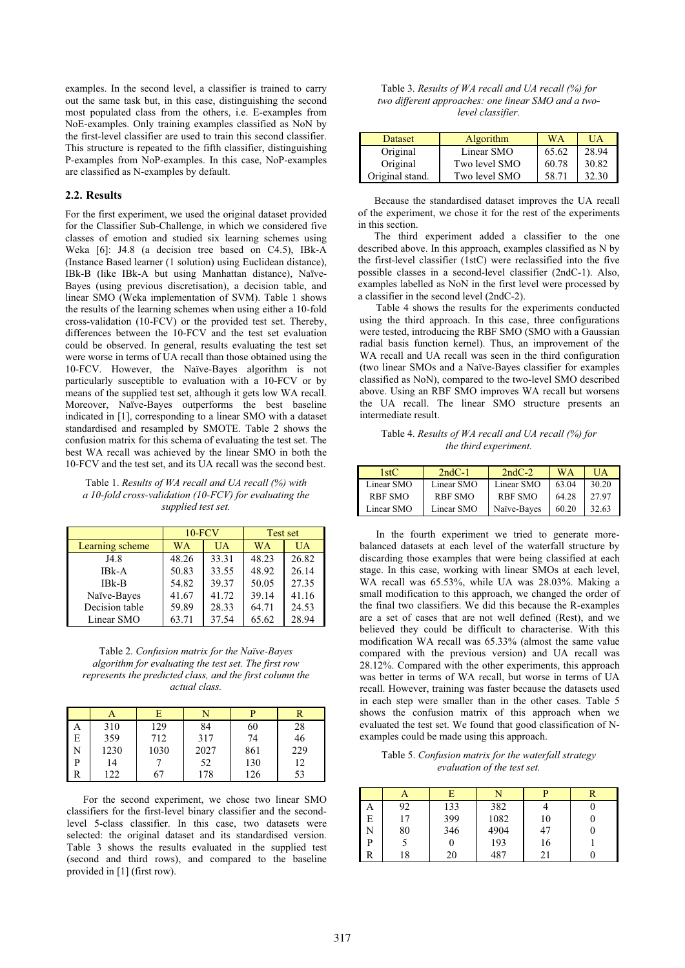examples. In the second level, a classifier is trained to carry out the same task but, in this case, distinguishing the second most populated class from the others, i.e. E-examples from NoE-examples. Only training examples classified as NoN by the first-level classifier are used to train this second classifier. This structure is repeated to the fifth classifier, distinguishing P-examples from NoP-examples. In this case, NoP-examples are classified as N-examples by default.

#### **2.2. Results**

For the first experiment, we used the original dataset provided for the Classifier Sub-Challenge, in which we considered five classes of emotion and studied six learning schemes using Weka [6]: J4.8 (a decision tree based on C4.5), IBk-A (Instance Based learner (1 solution) using Euclidean distance), IBk-B (like IBk-A but using Manhattan distance), Naïve-Bayes (using previous discretisation), a decision table, and linear SMO (Weka implementation of SVM). Table 1 shows the results of the learning schemes when using either a 10-fold cross-validation (10-FCV) or the provided test set. Thereby, differences between the 10-FCV and the test set evaluation could be observed. In general, results evaluating the test set were worse in terms of UA recall than those obtained using the 10-FCV. However, the Naïve-Bayes algorithm is not particularly susceptible to evaluation with a 10-FCV or by means of the supplied test set, although it gets low WA recall. Moreover, Naïve-Bayes outperforms the best baseline indicated in [1], corresponding to a linear SMO with a dataset standardised and resampled by SMOTE. Table 2 shows the confusion matrix for this schema of evaluating the test set. The best WA recall was achieved by the linear SMO in both the 10-FCV and the test set, and its UA recall was the second best.

Table 1. *Results of WA recall and UA recall (%) with a 10-fold cross-validation (10-FCV) for evaluating the supplied test set.* 

|                 | $10-FCV$  |       | Test set  |           |
|-----------------|-----------|-------|-----------|-----------|
| Learning scheme | <b>WA</b> | UA    | <b>WA</b> | <b>UA</b> |
| J4.8            | 48.26     | 33.31 | 48.23     | 26.82     |
| IBk-A           | 50.83     | 33.55 | 48.92     | 26.14     |
| $IBk-B$         | 54.82     | 39.37 | 50.05     | 27.35     |
| Naïve-Bayes     | 41.67     | 41.72 | 39.14     | 41.16     |
| Decision table  | 59.89     | 28.33 | 64.71     | 24.53     |
| Linear SMO      | 63.71     | 37.54 | 65.62     | 28.94     |

Table 2. *Confusion matrix for the Naïve-Bayes algorithm for evaluating the test set. The first row represents the predicted class, and the first column the actual class.* 

|              |      |      |      | D   |     |
|--------------|------|------|------|-----|-----|
| A            | 310  | 129  | 84   | 60  | 28  |
| ΙE           | 359  | 712  | 317  | 74  | 46  |
| l N          | 1230 | 1030 | 2027 | 861 | 229 |
| D            | 14   |      | 52   | 130 | 12  |
| $\mathsf{R}$ | 122  | 67   | 178  | 126 | 53  |

For the second experiment, we chose two linear SMO classifiers for the first-level binary classifier and the secondlevel 5-class classifier. In this case, two datasets were selected: the original dataset and its standardised version. Table 3 shows the results evaluated in the supplied test (second and third rows), and compared to the baseline provided in [1] (first row).

| Table 3. Results of WA recall and UA recall (%) for |
|-----------------------------------------------------|
| two different approaches: one linear SMO and a two- |
| level classifier.                                   |

| Dataset         | Algorithm     | <b>WA</b> | <b>UA</b> |
|-----------------|---------------|-----------|-----------|
| Original        | Linear SMO    | 65.62     | 28.94     |
| Original        | Two level SMO | 60.78     | 30.82     |
| Original stand. | Two level SMO | 58.71     | 32.30     |

Because the standardised dataset improves the UA recall of the experiment, we chose it for the rest of the experiments in this section.

The third experiment added a classifier to the one described above. In this approach, examples classified as N by the first-level classifier (1stC) were reclassified into the five possible classes in a second-level classifier (2ndC-1). Also, examples labelled as NoN in the first level were processed by a classifier in the second level (2ndC-2).

Table 4 shows the results for the experiments conducted using the third approach. In this case, three configurations were tested, introducing the RBF SMO (SMO with a Gaussian radial basis function kernel). Thus, an improvement of the WA recall and UA recall was seen in the third configuration (two linear SMOs and a Naïve-Bayes classifier for examples classified as NoN), compared to the two-level SMO described above. Using an RBF SMO improves WA recall but worsens the UA recall. The linear SMO structure presents an intermediate result.

#### Table 4. *Results of WA recall and UA recall (%) for the third experiment.*

| 1stC           | $2ndC-1$       | $2ndC-2$       | WA    | UA    |
|----------------|----------------|----------------|-------|-------|
| Linear SMO     | Linear SMO     | Linear SMO     | 63.04 | 30.20 |
| <b>RBF SMO</b> | <b>RBF SMO</b> | <b>RBF SMO</b> | 64.28 | 27.97 |
| Linear SMO     | Linear SMO     | Naïve-Bayes    | 60.20 | 32.63 |

In the fourth experiment we tried to generate morebalanced datasets at each level of the waterfall structure by discarding those examples that were being classified at each stage. In this case, working with linear SMOs at each level, WA recall was 65.53%, while UA was 28.03%. Making a small modification to this approach, we changed the order of the final two classifiers. We did this because the R-examples are a set of cases that are not well defined (Rest), and we believed they could be difficult to characterise. With this modification WA recall was 65.33% (almost the same value compared with the previous version) and UA recall was 28.12%. Compared with the other experiments, this approach was better in terms of WA recall, but worse in terms of UA recall. However, training was faster because the datasets used in each step were smaller than in the other cases. Table 5 shows the confusion matrix of this approach when we evaluated the test set. We found that good classification of Nexamples could be made using this approach.

Table 5. *Confusion matrix for the waterfall strategy evaluation of the test set.* 

|   | A  | E   | M    |    |  |
|---|----|-----|------|----|--|
| А | 92 | 133 | 382  |    |  |
| E | 17 | 399 | 1082 | 10 |  |
| N | 80 | 346 | 4904 | 47 |  |
| P |    |     | 193  | 16 |  |
| R | 18 | 20  | 487  | 21 |  |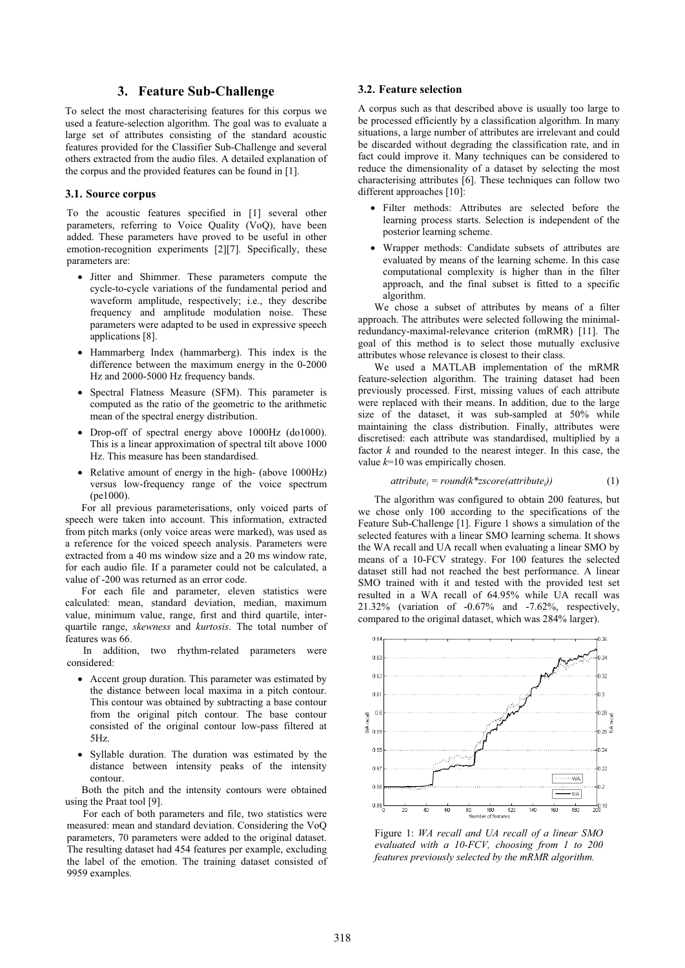## **3. Feature Sub-Challenge**

To select the most characterising features for this corpus we used a feature-selection algorithm. The goal was to evaluate a large set of attributes consisting of the standard acoustic features provided for the Classifier Sub-Challenge and several others extracted from the audio files. A detailed explanation of the corpus and the provided features can be found in [1].

#### **3.1. Source corpus**

To the acoustic features specified in [1] several other parameters, referring to Voice Quality (VoQ), have been added. These parameters have proved to be useful in other emotion-recognition experiments [2][7]. Specifically, these parameters are:

- Jitter and Shimmer. These parameters compute the cycle-to-cycle variations of the fundamental period and waveform amplitude, respectively; i.e., they describe frequency and amplitude modulation noise. These parameters were adapted to be used in expressive speech applications [8].
- Hammarberg Index (hammarberg). This index is the difference between the maximum energy in the 0-2000 Hz and 2000-5000 Hz frequency bands.
- Spectral Flatness Measure (SFM). This parameter is computed as the ratio of the geometric to the arithmetic mean of the spectral energy distribution.
- Drop-off of spectral energy above 1000Hz (do1000). This is a linear approximation of spectral tilt above 1000 Hz. This measure has been standardised.
- Relative amount of energy in the high- (above 1000Hz) versus low-frequency range of the voice spectrum (pe1000).

For all previous parameterisations, only voiced parts of speech were taken into account. This information, extracted from pitch marks (only voice areas were marked), was used as a reference for the voiced speech analysis. Parameters were extracted from a 40 ms window size and a 20 ms window rate, for each audio file. If a parameter could not be calculated, a value of -200 was returned as an error code.

For each file and parameter, eleven statistics were calculated: mean, standard deviation, median, maximum value, minimum value, range, first and third quartile, interquartile range, *skewness* and *kurtosis*. The total number of features was 66.

In addition, two rhythm-related parameters were considered:

- Accent group duration. This parameter was estimated by the distance between local maxima in a pitch contour. This contour was obtained by subtracting a base contour from the original pitch contour. The base contour consisted of the original contour low-pass filtered at 5Hz.
- Syllable duration. The duration was estimated by the distance between intensity peaks of the intensity contour.

Both the pitch and the intensity contours were obtained using the Praat tool [9].

For each of both parameters and file, two statistics were measured: mean and standard deviation. Considering the VoQ parameters, 70 parameters were added to the original dataset. The resulting dataset had 454 features per example, excluding the label of the emotion. The training dataset consisted of 9959 examples.

#### **3.2. Feature selection**

A corpus such as that described above is usually too large to be processed efficiently by a classification algorithm. In many situations, a large number of attributes are irrelevant and could be discarded without degrading the classification rate, and in fact could improve it. Many techniques can be considered to reduce the dimensionality of a dataset by selecting the most characterising attributes [6]. These techniques can follow two different approaches [10]:

- Filter methods: Attributes are selected before the learning process starts. Selection is independent of the posterior learning scheme.
- Wrapper methods: Candidate subsets of attributes are evaluated by means of the learning scheme. In this case computational complexity is higher than in the filter approach, and the final subset is fitted to a specific algorithm.

We chose a subset of attributes by means of a filter approach. The attributes were selected following the minimalredundancy-maximal-relevance criterion (mRMR) [11]. The goal of this method is to select those mutually exclusive attributes whose relevance is closest to their class.

We used a MATLAB implementation of the mRMR feature-selection algorithm. The training dataset had been previously processed. First, missing values of each attribute were replaced with their means. In addition, due to the large size of the dataset, it was sub-sampled at 50% while maintaining the class distribution. Finally, attributes were discretised: each attribute was standardised, multiplied by a factor *k* and rounded to the nearest integer. In this case, the value *k*=10 was empirically chosen.

#### $attribute_i = round(k * zscore(attribute_i))$  (1)

The algorithm was configured to obtain 200 features, but we chose only 100 according to the specifications of the Feature Sub-Challenge [1]. Figure 1 shows a simulation of the selected features with a linear SMO learning schema. It shows the WA recall and UA recall when evaluating a linear SMO by means of a 10-FCV strategy. For 100 features the selected dataset still had not reached the best performance. A linear SMO trained with it and tested with the provided test set resulted in a WA recall of 64.95% while UA recall was 21.32% (variation of -0.67% and -7.62%, respectively, compared to the original dataset, which was 284% larger).



Figure 1: *WA recall and UA recall of a linear SMO evaluated with a 10-FCV, choosing from 1 to 200 features previously selected by the mRMR algorithm.*